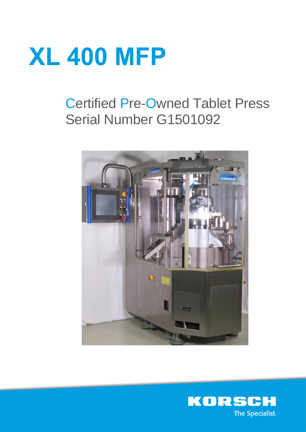# **XL 400 MFP**

# Certified Pre-Owned Tablet Press Serial Number G1501092



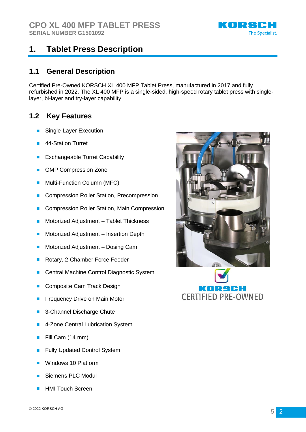

# **1. Tablet Press Description**

#### **1.1 General Description**

Certified Pre-Owned KORSCH XL 400 MFP Tablet Press, manufactured in 2017 and fully refurbished in 2022. The XL 400 MFP is a single-sided, high-speed rotary tablet press with singlelayer, bi-layer and try-layer capability.

#### **1.2 Key Features**

- Single-Layer Execution
- **44-Station Turret**
- **Exchangeable Turret Capability**
- **GMP Compression Zone**
- Multi-Function Column (MFC)
- Compression Roller Station, Precompression
- Compression Roller Station, Main Compression
- Motorized Adjustment Tablet Thickness
- Motorized Adjustment Insertion Depth
- Motorized Adjustment Dosing Cam
- Rotary, 2-Chamber Force Feeder
- Central Machine Control Diagnostic System
- Composite Cam Track Design
- Frequency Drive on Main Motor
- 3-Channel Discharge Chute
- 4-Zone Central Lubrication System
- Fill Cam (14 mm)
- Fully Updated Control System
- Windows 10 Platform
- Siemens PLC Modul
- **HMI Touch Screen**



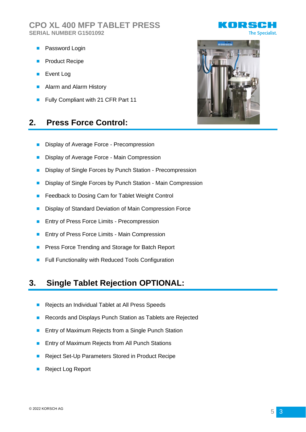#### **CPO XL 400 MFP TABLET PRESS SERIAL NUMBER G1501092**

- Password Login
- **Product Recipe**
- Event Log
- Alarm and Alarm History
- Fully Compliant with 21 CFR Part 11

### **2. Press Force Control:**

- Display of Average Force Precompression
- Display of Average Force Main Compression
- Display of Single Forces by Punch Station Precompression
- Display of Single Forces by Punch Station Main Compression
- Feedback to Dosing Cam for Tablet Weight Control
- Display of Standard Deviation of Main Compression Force
- Entry of Press Force Limits Precompression
- Entry of Press Force Limits Main Compression
- Press Force Trending and Storage for Batch Report
- Full Functionality with Reduced Tools Configuration

#### **3. Single Tablet Rejection OPTIONAL:**

- Rejects an Individual Tablet at All Press Speeds
- Records and Displays Punch Station as Tablets are Rejected
- Entry of Maximum Rejects from a Single Punch Station
- Entry of Maximum Rejects from All Punch Stations
- Reject Set-Up Parameters Stored in Product Recipe
- Reject Log Report



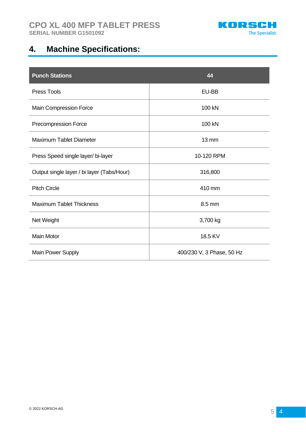

# **4. Machine Specifications:**

| <b>Punch Stations</b>                      | 44                        |
|--------------------------------------------|---------------------------|
| <b>Press Tools</b>                         | EU-BB                     |
| Main Compression Force                     | 100 kN                    |
| Precompression Force                       | 100 kN                    |
| <b>Maximum Tablet Diameter</b>             | $13 \text{ mm}$           |
| Press Speed single layer/ bi-layer         | 10-120 RPM                |
| Output single layer / bi layer (Tabs/Hour) | 316,800                   |
| <b>Pitch Circle</b>                        | 410 mm                    |
| <b>Maximum Tablet Thickness</b>            | 8.5 mm                    |
| Net Weight                                 | 3,700 kg                  |
| <b>Main Motor</b>                          | 18.5 KV                   |
| Main Power Supply                          | 400/230 V, 3 Phase, 50 Hz |